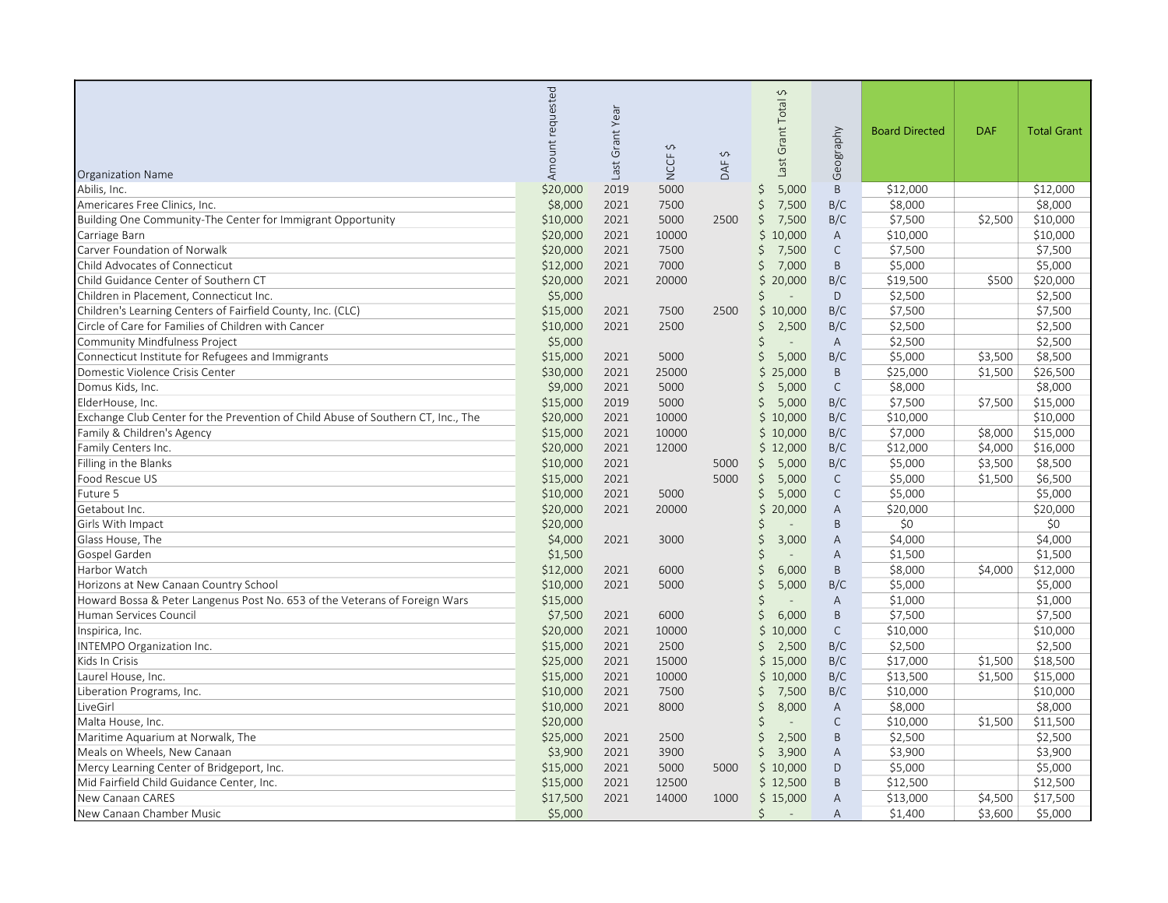| <b>Organization Name</b>                                                         | requested<br>Amount | Grant Year<br>Last | $\hat{\mathbf{c}}$<br>NCCF <sub>1</sub> | Ş<br>DAF | $\hat{\zeta}$<br>Grant Total<br>136 <sub>l</sub> | Geography      | <b>Board Directed</b> | <b>DAF</b> | <b>Total Grant</b> |
|----------------------------------------------------------------------------------|---------------------|--------------------|-----------------------------------------|----------|--------------------------------------------------|----------------|-----------------------|------------|--------------------|
| Abilis, Inc.                                                                     | \$20,000            | 2019               | 5000                                    |          | 5,000<br>\$.                                     | B              | \$12,000              |            | \$12,000           |
| Americares Free Clinics, Inc.                                                    | \$8,000             | 2021               | 7500                                    |          | Ś.<br>7,500                                      | B/C            | \$8,000               |            | \$8,000            |
| Building One Community-The Center for Immigrant Opportunity                      | \$10,000            | 2021               | 5000                                    | 2500     | 7,500<br>Ś                                       | B/C            | \$7,500               | \$2,500    | \$10,000           |
| Carriage Barn                                                                    | \$20,000            | 2021               | 10000                                   |          | \$<br>10,000                                     | A              | \$10,000              |            | \$10,000           |
| Carver Foundation of Norwalk                                                     | \$20,000            | 2021               | 7500                                    |          | 7,500<br>Ś                                       | C              | \$7,500               |            | \$7,500            |
| Child Advocates of Connecticut                                                   | \$12,000            | 2021               | 7000                                    |          | 7,000                                            | B              | \$5,000               |            | \$5,000            |
| Child Guidance Center of Southern CT                                             | \$20,000            | 2021               | 20000                                   |          | 20,000<br>\$                                     | B/C            | \$19,500              | \$500      | \$20,000           |
| Children in Placement, Connecticut Inc.                                          | \$5,000             |                    |                                         |          |                                                  | $\mathsf D$    | \$2,500               |            | \$2,500            |
| Children's Learning Centers of Fairfield County, Inc. (CLC)                      | \$15,000            | 2021               | 7500                                    | 2500     | 10,000<br>\$                                     | B/C            | \$7,500               |            | \$7,500            |
| Circle of Care for Families of Children with Cancer                              | \$10,000            | 2021               | 2500                                    |          | Ś<br>2,500                                       | B/C            | \$2,500               |            | \$2,500            |
| Community Mindfulness Project                                                    | \$5,000             |                    |                                         |          | Ś                                                | $\mathsf{A}$   | \$2,500               |            | \$2,500            |
| Connecticut Institute for Refugees and Immigrants                                | \$15,000            | 2021               | 5000                                    |          | Ś<br>5,000                                       | B/C            | \$5,000               | \$3,500    | \$8,500            |
| Domestic Violence Crisis Center                                                  | \$30,000            | 2021               | 25000                                   |          | 25,000<br>Ś                                      | B              | \$25,000              | \$1,500    | \$26,500           |
| Domus Kids, Inc.                                                                 | \$9,000             | 2021               | 5000                                    |          | 5,000<br>Ś                                       | $\mathsf{C}$   | \$8,000               |            | \$8,000            |
| ElderHouse, Inc.                                                                 | \$15,000            | 2019               | 5000                                    |          | 5,000<br>Ś.                                      | B/C            | \$7,500               | \$7,500    | \$15,000           |
| Exchange Club Center for the Prevention of Child Abuse of Southern CT, Inc., The | \$20,000            | 2021               | 10000                                   |          | \$10,000                                         | B/C            | \$10,000              |            | \$10,000           |
| Family & Children's Agency                                                       | \$15,000            | 2021               | 10000                                   |          | \$10,000                                         | B/C            | \$7,000               | \$8,000    | \$15,000           |
| Family Centers Inc.                                                              | \$20,000            | 2021               | 12000                                   |          | \$12,000                                         | B/C            | \$12,000              | \$4,000    | \$16,000           |
| Filling in the Blanks                                                            | \$10,000            | 2021               |                                         | 5000     | \$<br>5,000                                      | B/C            | \$5,000               | \$3,500    | \$8,500            |
| Food Rescue US                                                                   | \$15,000            | 2021               |                                         | 5000     | 5,000<br>\$                                      | $\mathsf{C}$   | \$5,000               | \$1,500    | \$6,500            |
| Future 5                                                                         | \$10,000            | 2021               | 5000                                    |          | Ś.<br>5,000                                      | $\mathsf{C}$   | \$5,000               |            | \$5,000            |
| Getabout Inc.                                                                    | \$20,000            | 2021               | 20000                                   |          | 20,000<br>\$                                     | A              | \$20,000              |            | \$20,000           |
| Girls With Impact                                                                | \$20,000            |                    |                                         |          |                                                  | B              | \$0                   |            | \$0                |
| Glass House, The                                                                 | \$4,000             | 2021               | 3000                                    |          | 3,000                                            | A              | \$4,000               |            | \$4,000            |
| Gospel Garden                                                                    | \$1,500             |                    |                                         |          |                                                  | A              | \$1,500               |            | \$1,500            |
| Harbor Watch                                                                     | \$12,000            | 2021               | 6000                                    |          | 6,000                                            | B              | \$8,000               | \$4,000    | \$12,000           |
| Horizons at New Canaan Country School                                            | \$10,000            | 2021               | 5000                                    |          | 5,000<br>Ś                                       | B/C            | \$5,000               |            | \$5,000            |
| Howard Bossa & Peter Langenus Post No. 653 of the Veterans of Foreign Wars       | \$15,000            |                    |                                         |          |                                                  | $\mathsf{A}$   | \$1,000               |            | \$1,000            |
| Human Services Council                                                           | \$7,500             | 2021               | 6000                                    |          | 6,000<br>Ś                                       | B              | \$7,500               |            | \$7,500            |
| Inspirica, Inc.                                                                  | \$20,000            | 2021               | 10000                                   |          | 10,000<br>Ś.                                     | $\mathsf{C}$   | \$10,000              |            | \$10,000           |
| INTEMPO Organization Inc.                                                        | \$15,000            | 2021               | 2500                                    |          | 2,500<br>\$                                      | B/C            | \$2,500               |            | \$2,500            |
| Kids In Crisis                                                                   | \$25,000            | 2021               | 15000                                   |          | \$15,000                                         | B/C            | \$17,000              | \$1,500    | \$18,500           |
| Laurel House, Inc.                                                               | \$15,000            | 2021               | 10000                                   |          | \$10,000                                         | B/C            | \$13,500              | \$1,500    | \$15,000           |
| Liberation Programs, Inc.                                                        | \$10,000            | 2021               | 7500                                    |          | 7,500<br>Ś                                       | B/C            | \$10,000              |            | \$10,000           |
| LiveGirl                                                                         | \$10,000            | 2021               | 8000                                    |          | 8,000<br>Ś                                       | $\overline{A}$ | \$8,000               |            | \$8,000            |
| Malta House, Inc.                                                                | \$20,000            |                    |                                         |          |                                                  | $\mathsf{C}$   | \$10,000              | \$1,500    | \$11,500           |
| Maritime Aquarium at Norwalk, The                                                | \$25,000            | 2021               | 2500                                    |          | 2,500<br>Ś                                       | B              | \$2,500               |            | \$2,500            |
| Meals on Wheels, New Canaan                                                      | \$3,900             | 2021               | 3900                                    |          | 3,900<br>Ś                                       | A              | \$3,900               |            | \$3,900            |
| Mercy Learning Center of Bridgeport, Inc.                                        | \$15,000            | 2021               | 5000                                    | 5000     | \$10,000                                         | D              | \$5,000               |            | \$5,000            |
| Mid Fairfield Child Guidance Center, Inc.                                        | \$15,000            | 2021               | 12500                                   |          | \$12,500                                         | B              | \$12,500              |            | \$12,500           |
| New Canaan CARES                                                                 | \$17,500            | 2021               | 14000                                   | 1000     | \$15,000                                         | A              | \$13,000              | \$4,500    | \$17,500           |
| New Canaan Chamber Music                                                         | \$5,000             |                    |                                         |          | Ś                                                | A              | \$1,400               | \$3,600    | \$5,000            |